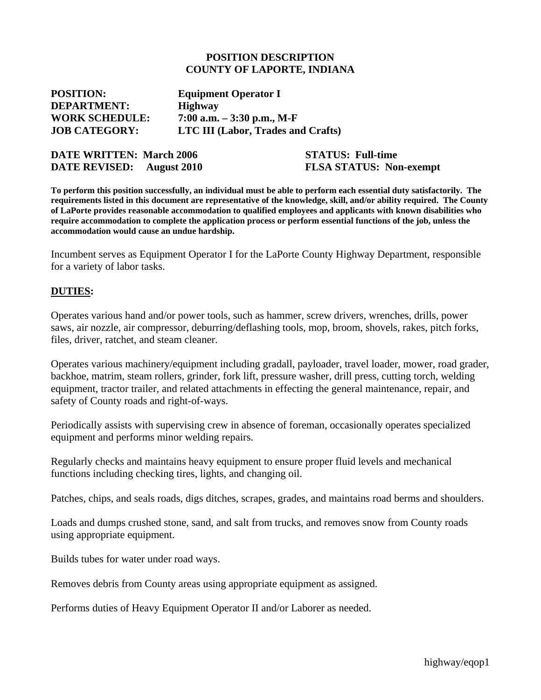#### **POSITION DESCRIPTION COUNTY OF LAPORTE, INDIANA**

| <b>Equipment Operator I</b>               |
|-------------------------------------------|
| <b>Highway</b>                            |
| 7:00 a.m. $-3:30$ p.m., M-F               |
| <b>LTC III (Labor, Trades and Crafts)</b> |
|                                           |

| <b>DATE WRITTEN: March 2006</b> |                    |
|---------------------------------|--------------------|
| <b>DATE REVISED:</b>            | <b>August</b> 2010 |

**STATUS: Full-time FLSA STATUS: Non-exempt** 

**To perform this position successfully, an individual must be able to perform each essential duty satisfactorily. The requirements listed in this document are representative of the knowledge, skill, and/or ability required. The County of LaPorte provides reasonable accommodation to qualified employees and applicants with known disabilities who require accommodation to complete the application process or perform essential functions of the job, unless the accommodation would cause an undue hardship.** 

Incumbent serves as Equipment Operator I for the LaPorte County Highway Department, responsible for a variety of labor tasks.

### **DUTIES:**

Operates various hand and/or power tools, such as hammer, screw drivers, wrenches, drills, power saws, air nozzle, air compressor, deburring/deflashing tools, mop, broom, shovels, rakes, pitch forks, files, driver, ratchet, and steam cleaner.

Operates various machinery/equipment including gradall, payloader, travel loader, mower, road grader, backhoe, matrim, steam rollers, grinder, fork lift, pressure washer, drill press, cutting torch, welding equipment, tractor trailer, and related attachments in effecting the general maintenance, repair, and safety of County roads and right-of-ways.

Periodically assists with supervising crew in absence of foreman, occasionally operates specialized equipment and performs minor welding repairs.

Regularly checks and maintains heavy equipment to ensure proper fluid levels and mechanical functions including checking tires, lights, and changing oil.

Patches, chips, and seals roads, digs ditches, scrapes, grades, and maintains road berms and shoulders.

Loads and dumps crushed stone, sand, and salt from trucks, and removes snow from County roads using appropriate equipment.

Builds tubes for water under road ways.

Removes debris from County areas using appropriate equipment as assigned.

Performs duties of Heavy Equipment Operator II and/or Laborer as needed.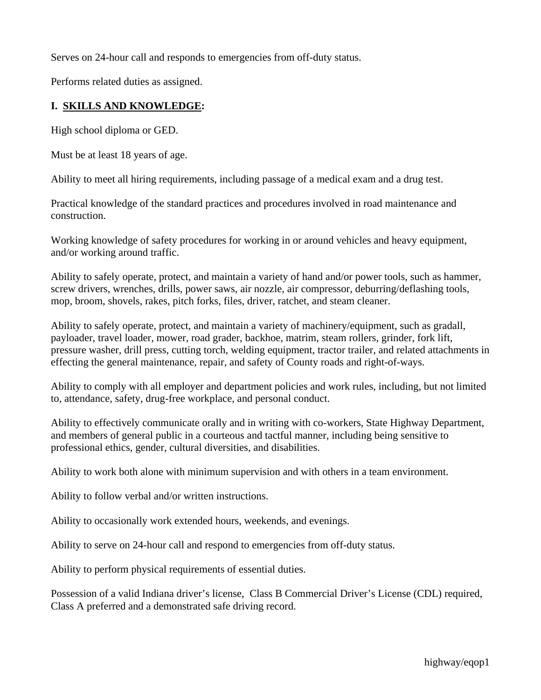Serves on 24-hour call and responds to emergencies from off-duty status.

Performs related duties as assigned.

# **I. SKILLS AND KNOWLEDGE:**

High school diploma or GED.

Must be at least 18 years of age.

Ability to meet all hiring requirements, including passage of a medical exam and a drug test.

Practical knowledge of the standard practices and procedures involved in road maintenance and construction.

Working knowledge of safety procedures for working in or around vehicles and heavy equipment, and/or working around traffic.

Ability to safely operate, protect, and maintain a variety of hand and/or power tools, such as hammer, screw drivers, wrenches, drills, power saws, air nozzle, air compressor, deburring/deflashing tools, mop, broom, shovels, rakes, pitch forks, files, driver, ratchet, and steam cleaner.

Ability to safely operate, protect, and maintain a variety of machinery/equipment, such as gradall, payloader, travel loader, mower, road grader, backhoe, matrim, steam rollers, grinder, fork lift, pressure washer, drill press, cutting torch, welding equipment, tractor trailer, and related attachments in effecting the general maintenance, repair, and safety of County roads and right-of-ways.

Ability to comply with all employer and department policies and work rules, including, but not limited to, attendance, safety, drug-free workplace, and personal conduct.

Ability to effectively communicate orally and in writing with co-workers, State Highway Department, and members of general public in a courteous and tactful manner, including being sensitive to professional ethics, gender, cultural diversities, and disabilities.

Ability to work both alone with minimum supervision and with others in a team environment.

Ability to follow verbal and/or written instructions.

Ability to occasionally work extended hours, weekends, and evenings.

Ability to serve on 24-hour call and respond to emergencies from off-duty status.

Ability to perform physical requirements of essential duties.

Possession of a valid Indiana driver's license, Class B Commercial Driver's License (CDL) required, Class A preferred and a demonstrated safe driving record.